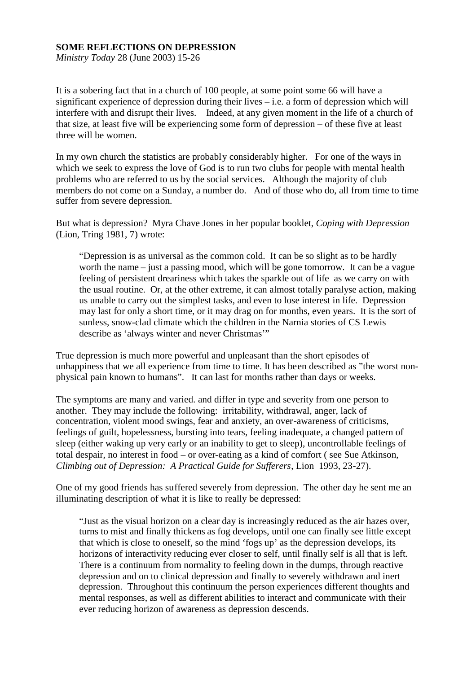## **SOME REFLECTIONS ON DEPRESSION**

*Ministry Today* 28 (June 2003) 15-26

It is a sobering fact that in a church of 100 people, at some point some 66 will have a significant experience of depression during their lives – i.e. a form of depression which will interfere with and disrupt their lives. Indeed, at any given moment in the life of a church of that size, at least five will be experiencing some form of depression – of these five at least three will be women.

In my own church the statistics are probably considerably higher. For one of the ways in which we seek to express the love of God is to run two clubs for people with mental health problems who are referred to us by the social services. Although the majority of club members do not come on a Sunday, a number do. And of those who do, all from time to time suffer from severe depression.

But what is depression? Myra Chave Jones in her popular booklet, *Coping with Depression* (Lion, Tring 1981, 7) wrote:

"Depression is as universal as the common cold. It can be so slight as to be hardly worth the name – just a passing mood, which will be gone tomorrow. It can be a vague feeling of persistent dreariness which takes the sparkle out of life as we carry on with the usual routine. Or, at the other extreme, it can almost totally paralyse action, making us unable to carry out the simplest tasks, and even to lose interest in life. Depression may last for only a short time, or it may drag on for months, even years. It is the sort of sunless, snow-clad climate which the children in the Narnia stories of CS Lewis describe as 'always winter and never Christmas'"

True depression is much more powerful and unpleasant than the short episodes of unhappiness that we all experience from time to time. It has been described as "the worst nonphysical pain known to humans". It can last for months rather than days or weeks.

The symptoms are many and varied. and differ in type and severity from one person to another. They may include the following: irritability, withdrawal, anger, lack of concentration, violent mood swings, fear and anxiety, an over-awareness of criticisms, feelings of guilt, hopelessness, bursting into tears, feeling inadequate, a changed pattern of sleep (either waking up very early or an inability to get to sleep), uncontrollable feelings of total despair, no interest in food – or over-eating as a kind of comfort ( see Sue Atkinson, *Climbing out of Depression: A Practical Guide for Sufferers*, Lion 1993, 23-27).

One of my good friends has suffered severely from depression. The other day he sent me an illuminating description of what it is like to really be depressed:

"Just as the visual horizon on a clear day is increasingly reduced as the air hazes over, turns to mist and finally thickens as fog develops, until one can finally see little except that which is close to oneself, so the mind 'fogs up' as the depression develops, its horizons of interactivity reducing ever closer to self, until finally self is all that is left. There is a continuum from normality to feeling down in the dumps, through reactive depression and on to clinical depression and finally to severely withdrawn and inert depression. Throughout this continuum the person experiences different thoughts and mental responses, as well as different abilities to interact and communicate with their ever reducing horizon of awareness as depression descends.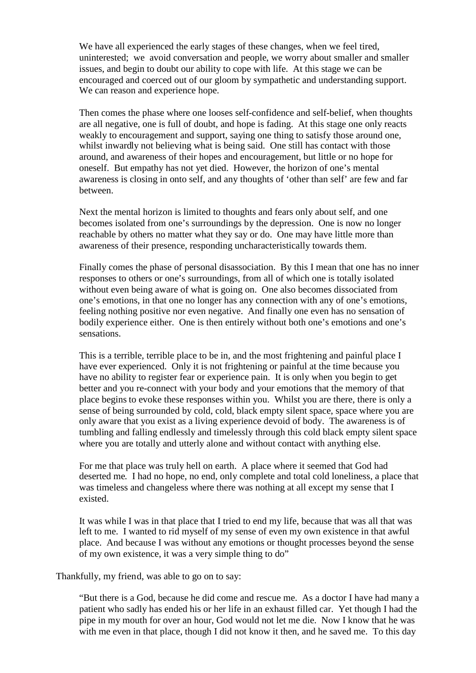We have all experienced the early stages of these changes, when we feel tired, uninterested; we avoid conversation and people, we worry about smaller and smaller issues, and begin to doubt our ability to cope with life. At this stage we can be encouraged and coerced out of our gloom by sympathetic and understanding support. We can reason and experience hope.

Then comes the phase where one looses self-confidence and self-belief, when thoughts are all negative, one is full of doubt, and hope is fading. At this stage one only reacts weakly to encouragement and support, saying one thing to satisfy those around one, whilst inwardly not believing what is being said. One still has contact with those around, and awareness of their hopes and encouragement, but little or no hope for oneself. But empathy has not yet died. However, the horizon of one's mental awareness is closing in onto self, and any thoughts of 'other than self' are few and far between.

Next the mental horizon is limited to thoughts and fears only about self, and one becomes isolated from one's surroundings by the depression. One is now no longer reachable by others no matter what they say or do. One may have little more than awareness of their presence, responding uncharacteristically towards them.

Finally comes the phase of personal disassociation. By this I mean that one has no inner responses to others or one's surroundings, from all of which one is totally isolated without even being aware of what is going on. One also becomes dissociated from one's emotions, in that one no longer has any connection with any of one's emotions, feeling nothing positive nor even negative. And finally one even has no sensation of bodily experience either. One is then entirely without both one's emotions and one's sensations.

This is a terrible, terrible place to be in, and the most frightening and painful place I have ever experienced. Only it is not frightening or painful at the time because you have no ability to register fear or experience pain. It is only when you begin to get better and you re-connect with your body and your emotions that the memory of that place begins to evoke these responses within you. Whilst you are there, there is only a sense of being surrounded by cold, cold, black empty silent space, space where you are only aware that you exist as a living experience devoid of body. The awareness is of tumbling and falling endlessly and timelessly through this cold black empty silent space where you are totally and utterly alone and without contact with anything else.

For me that place was truly hell on earth. A place where it seemed that God had deserted me. I had no hope, no end, only complete and total cold loneliness, a place that was timeless and changeless where there was nothing at all except my sense that I existed.

It was while I was in that place that I tried to end my life, because that was all that was left to me. I wanted to rid myself of my sense of even my own existence in that awful place. And because I was without any emotions or thought processes beyond the sense of my own existence, it was a very simple thing to do"

Thankfully, my friend, was able to go on to say:

"But there is a God, because he did come and rescue me. As a doctor I have had many a patient who sadly has ended his or her life in an exhaust filled car. Yet though I had the pipe in my mouth for over an hour, God would not let me die. Now I know that he was with me even in that place, though I did not know it then, and he saved me. To this day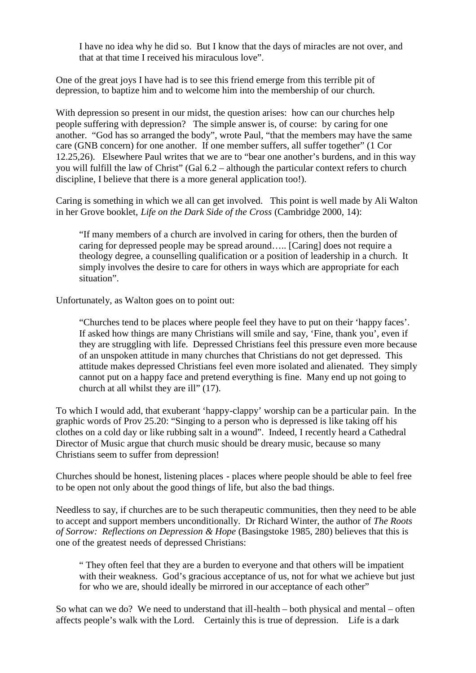I have no idea why he did so. But I know that the days of miracles are not over, and that at that time I received his miraculous love".

One of the great joys I have had is to see this friend emerge from this terrible pit of depression, to baptize him and to welcome him into the membership of our church.

With depression so present in our midst, the question arises: how can our churches help people suffering with depression? The simple answer is, of course: by caring for one another. "God has so arranged the body", wrote Paul, "that the members may have the same care (GNB concern) for one another. If one member suffers, all suffer together" (1 Cor 12.25,26). Elsewhere Paul writes that we are to "bear one another's burdens, and in this way you will fulfill the law of Christ" (Gal 6.2 – although the particular context refers to church discipline, I believe that there is a more general application too!).

Caring is something in which we all can get involved. This point is well made by Ali Walton in her Grove booklet, *Life on the Dark Side of the Cross* (Cambridge 2000, 14):

"If many members of a church are involved in caring for others, then the burden of caring for depressed people may be spread around….. [Caring] does not require a theology degree, a counselling qualification or a position of leadership in a church. It simply involves the desire to care for others in ways which are appropriate for each situation".

Unfortunately, as Walton goes on to point out:

"Churches tend to be places where people feel they have to put on their 'happy faces'. If asked how things are many Christians will smile and say, 'Fine, thank you', even if they are struggling with life. Depressed Christians feel this pressure even more because of an unspoken attitude in many churches that Christians do not get depressed. This attitude makes depressed Christians feel even more isolated and alienated. They simply cannot put on a happy face and pretend everything is fine. Many end up not going to church at all whilst they are ill" (17).

To which I would add, that exuberant 'happy-clappy' worship can be a particular pain. In the graphic words of Prov 25.20: "Singing to a person who is depressed is like taking off his clothes on a cold day or like rubbing salt in a wound". Indeed, I recently heard a Cathedral Director of Music argue that church music should be dreary music, because so many Christians seem to suffer from depression!

Churches should be honest, listening places - places where people should be able to feel free to be open not only about the good things of life, but also the bad things.

Needless to say, if churches are to be such therapeutic communities, then they need to be able to accept and support members unconditionally. Dr Richard Winter, the author of *The Roots of Sorrow: Reflections on Depression & Hope* (Basingstoke 1985, 280) believes that this is one of the greatest needs of depressed Christians:

" They often feel that they are a burden to everyone and that others will be impatient with their weakness. God's gracious acceptance of us, not for what we achieve but just for who we are, should ideally be mirrored in our acceptance of each other"

So what can we do? We need to understand that ill-health – both physical and mental – often affects people's walk with the Lord. Certainly this is true of depression. Life is a dark